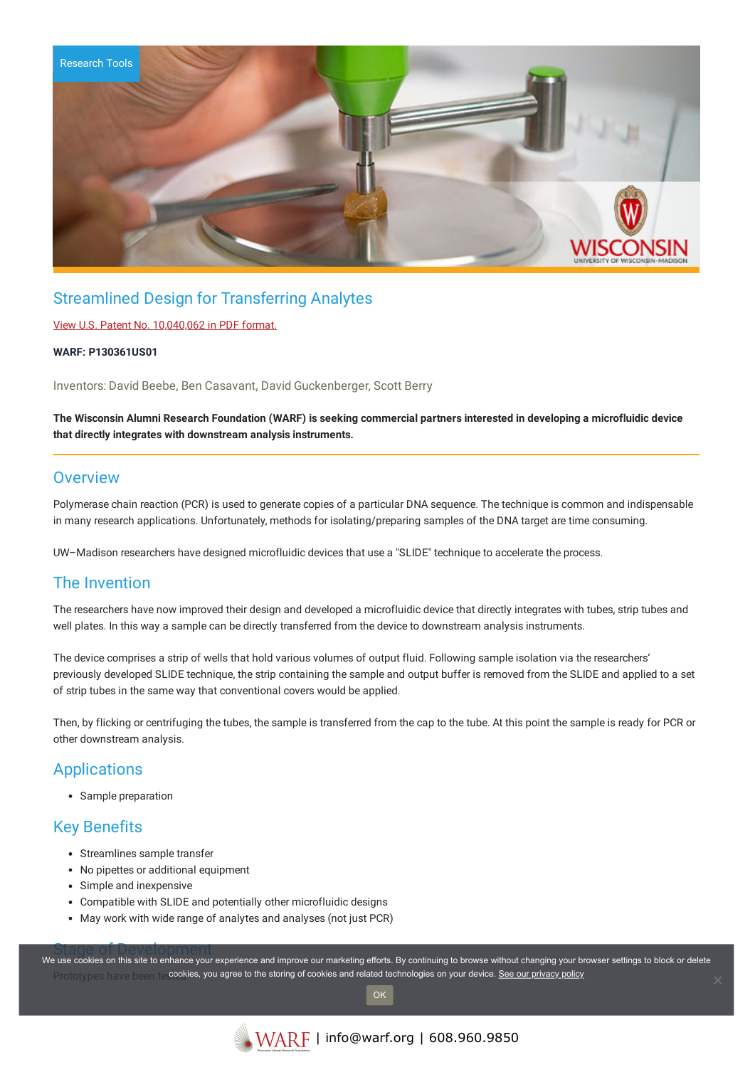

## Streamlined Design for Transferring Analytes

### View U.S. Patent No. [10,040,062](https://www.warf.org/wp-content/uploads/technologies/ipstatus/P130361US01.pdf) in PDF format.

#### **WARF: P130361US01**

Inventors: David Beebe, Ben Casavant, David Guckenberger, Scott Berry

### The Wisconsin Alumni Research Foundation (WARF) is seeking commercial partners interested in developing a microfluidic device **that directly integrates with downstream analysis instruments.**

### **Overview**

Polymerase chain reaction (PCR) is used to generate copies of a particular DNA sequence. The technique is common and indispensable in many research applications. Unfortunately, methods for isolating/preparing samples of the DNA target are time consuming.

UW–Madison researchers have designed microfluidic devices that use a "SLIDE" technique to accelerate the process.

## The Invention

The researchers have now improved their design and developed a microfluidic device that directly integrates with tubes, strip tubes and well plates. In this way a sample can be directly transferred from the device to downstream analysis instruments.

The device comprises a strip of wells that hold various volumes of output fluid. Following sample isolation via the researchers' previously developed SLIDE technique, the strip containing the sample and output buffer is removed from the SLIDE and applied to a set of strip tubes in the same way that conventional covers would be applied.

Then, by flicking or centrifuging the tubes, the sample is transferred from the cap to the tube. At this point the sample is ready for PCR or other downstream analysis.

### **Applications**

Sample preparation

## Key Benefits

- Streamlines sample transfer
- No pipettes or additional equipment
- Simple and inexpensive
- Compatible with SLIDE and potentially other microfluidic designs
- May work with wide range of analytes and analyses (not just PCR)

Stage of Development<br>We use cookies on this site to enhance your experience and improve our marketing efforts. By continuing to browse without changing your browser settings to block or delete Prototypes have been te **cookies, you agree to the storing of cookies and related technologies on your device. <u>See our privacy policy</u>**